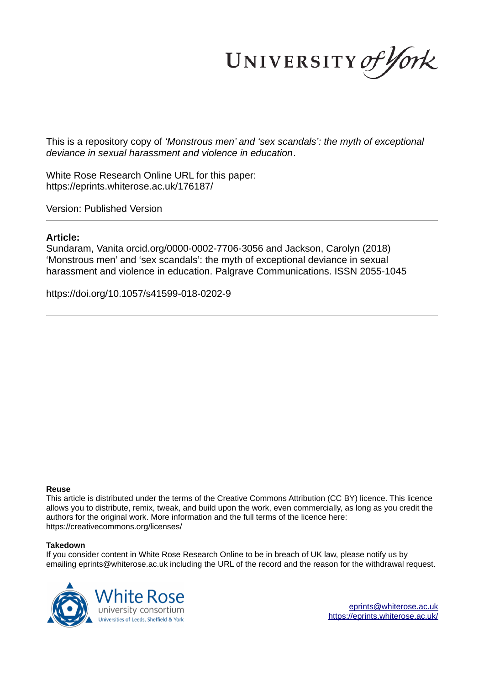UNIVERSITY of York

This is a repository copy of *'Monstrous men' and 'sex scandals': the myth of exceptional deviance in sexual harassment and violence in education*.

White Rose Research Online URL for this paper: https://eprints.whiterose.ac.uk/176187/

Version: Published Version

#### **Article:**

Sundaram, Vanita orcid.org/0000-0002-7706-3056 and Jackson, Carolyn (2018) 'Monstrous men' and 'sex scandals': the myth of exceptional deviance in sexual harassment and violence in education. Palgrave Communications. ISSN 2055-1045

https://doi.org/10.1057/s41599-018-0202-9

#### **Reuse**

This article is distributed under the terms of the Creative Commons Attribution (CC BY) licence. This licence allows you to distribute, remix, tweak, and build upon the work, even commercially, as long as you credit the authors for the original work. More information and the full terms of the licence here: https://creativecommons.org/licenses/

#### **Takedown**

If you consider content in White Rose Research Online to be in breach of UK law, please notify us by emailing eprints@whiterose.ac.uk including the URL of the record and the reason for the withdrawal request.

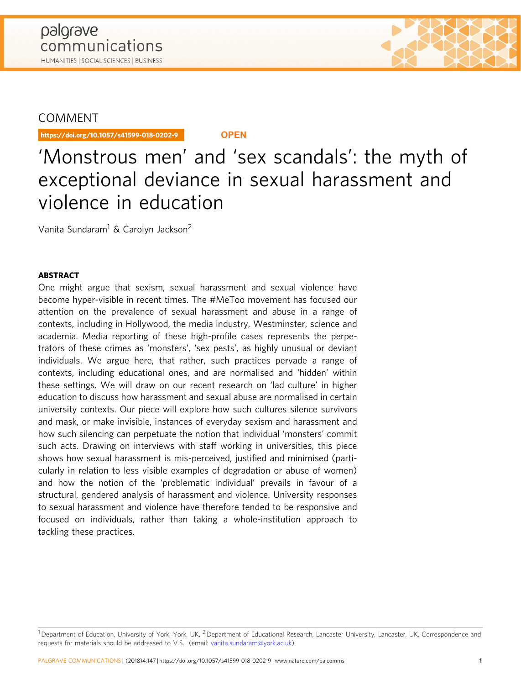## **COMMENT**

https://doi.org/10.1057/s41599-018-0202-9 **OPEN**

# 'Monstrous men' and 'sex scandals': the myth of exceptional deviance in sexual harassment and violence in education

Vanita Sundaram<sup>1</sup> & Carolyn Jackson<sup>2</sup>

### ABSTRACT

One might argue that sexism, sexual harassment and sexual violence have become hyper-visible in recent times. The #MeToo movement has focused our attention on the prevalence of sexual harassment and abuse in a range of contexts, including in Hollywood, the media industry, Westminster, science and academia. Media reporting of these high-profile cases represents the perpetrators of these crimes as 'monsters', 'sex pests', as highly unusual or deviant individuals. We argue here, that rather, such practices pervade a range of contexts, including educational ones, and are normalised and 'hidden' within these settings. We will draw on our recent research on 'lad culture' in higher education to discuss how harassment and sexual abuse are normalised in certain university contexts. Our piece will explore how such cultures silence survivors and mask, or make invisible, instances of everyday sexism and harassment and how such silencing can perpetuate the notion that individual 'monsters' commit such acts. Drawing on interviews with staff working in universities, this piece shows how sexual harassment is mis-perceived, justified and minimised (particularly in relation to less visible examples of degradation or abuse of women) and how the notion of the 'problematic individual' prevails in favour of a structural, gendered analysis of harassment and violence. University responses to sexual harassment and violence have therefore tended to be responsive and focused on individuals, rather than taking a whole-institution approach to tackling these practices.

 $1$ Department of Education, University of York, York, UK.  $2$ Department of Educational Research, Lancaster University, Lancaster, UK. Correspondence and requests for materials should be addressed to V.S. (email: [vanita.sundaram@york.ac.uk](mailto:a4.3d))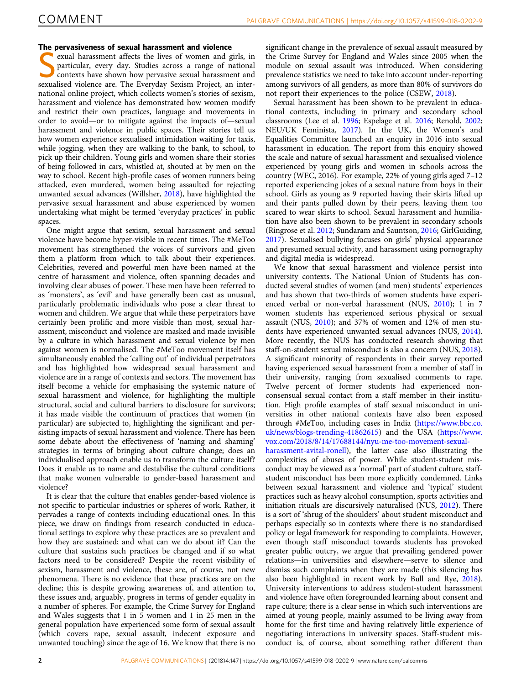The pervasiveness of sexual harassment and violence<br>
sexual harassment affects the lives of women and g<br>
particular, every day. Studies across a range of n<br>
contexts have shown how pervasive sexual harassme exual harassment affects the lives of women and girls, in particular, every day. Studies across a range of national contexts have shown how pervasive sexual harassment and sexualised violence are. The Everyday Sexism Project, an international online project, which collects women's stories of sexism, harassment and violence has demonstrated how women modify and restrict their own practices, language and movements in order to avoid—or to mitigate against the impacts of—sexual harassment and violence in public spaces. Their stories tell us how women experience sexualised intimidation waiting for taxis, while jogging, when they are walking to the bank, to school, to pick up their children. Young girls and women share their stories of being followed in cars, whistled at, shouted at by men on the way to school. Recent high-profile cases of women runners being attacked, even murdered, women being assaulted for rejecting unwanted sexual advances (Willsher, [2018\)](#page-5-0), have highlighted the pervasive sexual harassment and abuse experienced by women undertaking what might be termed 'everyday practices' in public spaces.

One might argue that sexism, sexual harassment and sexual violence have become hyper-visible in recent times. The #MeToo movement has strengthened the voices of survivors and given them a platform from which to talk about their experiences. Celebrities, revered and powerful men have been named at the centre of harassment and violence, often spanning decades and involving clear abuses of power. These men have been referred to as 'monsters', as 'evil' and have generally been cast as unusual, particularly problematic individuals who pose a clear threat to women and children. We argue that while these perpetrators have certainly been prolific and more visible than most, sexual harassment, misconduct and violence are masked and made invisible by a culture in which harassment and sexual violence by men against women is normalised. The #MeToo movement itself has simultaneously enabled the 'calling out' of individual perpetrators and has highlighted how widespread sexual harassment and violence are in a range of contexts and sectors. The movement has itself become a vehicle for emphasising the systemic nature of sexual harassment and violence, for highlighting the multiple structural, social and cultural barriers to disclosure for survivors; it has made visible the continuum of practices that women (in particular) are subjected to, highlighting the significant and persisting impacts of sexual harassment and violence. There has been some debate about the effectiveness of 'naming and shaming' strategies in terms of bringing about culture change; does an individualised approach enable us to transform the culture itself? Does it enable us to name and destabilise the cultural conditions that make women vulnerable to gender-based harassment and violence?

It is clear that the culture that enables gender-based violence is not specific to particular industries or spheres of work. Rather, it pervades a range of contexts including educational ones. In this piece, we draw on findings from research conducted in educational settings to explore why these practices are so prevalent and how they are sustained; and what can we do about it? Can the culture that sustains such practices be changed and if so what factors need to be considered? Despite the recent visibility of sexism, harassment and violence, these are, of course, not new phenomena. There is no evidence that these practices are on the decline; this is despite growing awareness of, and attention to, these issues and, arguably, progress in terms of gender equality in a number of spheres. For example, the Crime Survey for England and Wales suggests that 1 in 5 women and 1 in 25 men in the general population have experienced some form of sexual assault (which covers rape, sexual assault, indecent exposure and unwanted touching) since the age of 16. We know that there is no

significant change in the prevalence of sexual assault measured by the Crime Survey for England and Wales since 2005 when the module on sexual assault was introduced. When considering prevalence statistics we need to take into account under-reporting among survivors of all genders, as more than 80% of survivors do not report their experiences to the police (CSEW, [2018\)](#page-5-0).

Sexual harassment has been shown to be prevalent in educational contexts, including in primary and secondary school classrooms (Lee et al. [1996;](#page-5-0) Espelage et al. [2016;](#page-5-0) Renold, [2002;](#page-5-0) NEU/UK Feminista, [2017](#page-5-0)). In the UK, the Women's and Equalities Committee launched an enquiry in 2016 into sexual harassment in education. The report from this enquiry showed the scale and nature of sexual harassment and sexualised violence experienced by young girls and women in schools across the country (WEC, 2016). For example, 22% of young girls aged 7–12 reported experiencing jokes of a sexual nature from boys in their school. Girls as young as 9 reported having their skirts lifted up and their pants pulled down by their peers, leaving them too scared to wear skirts to school. Sexual harassment and humiliation have also been shown to be prevalent in secondary schools (Ringrose et al. [2012](#page-5-0); Sundaram and Sauntson, [2016](#page-5-0); GirlGuiding, [2017\)](#page-5-0). Sexualised bullying focuses on girls' physical appearance and presumed sexual activity, and harassment using pornography and digital media is widespread.

We know that sexual harassment and violence persist into university contexts. The National Union of Students has conducted several studies of women (and men) students' experiences and has shown that two-thirds of women students have experienced verbal or non-verbal harassment (NUS, [2010](#page-5-0)); 1 in 7 women students has experienced serious physical or sexual assault (NUS, [2010](#page-5-0)); and 37% of women and 12% of men students have experienced unwanted sexual advances (NUS, [2014](#page-5-0)). More recently, the NUS has conducted research showing that staff-on-student sexual misconduct is also a concern (NUS, [2018](#page-5-0)). A significant minority of respondents in their survey reported having experienced sexual harassment from a member of staff in their university, ranging from sexualised comments to rape. Twelve percent of former students had experienced nonconsensual sexual contact from a staff member in their institution. High profile examples of staff sexual misconduct in universities in other national contexts have also been exposed through #MeToo, including cases in India ([https://www.bbc.co.](https://www.bbc.co.uk/news/blogs-rending-,0,0,2) [uk/news/blogs-trending-41862615\)](https://www.bbc.co.uk/news/blogs-rending-,0,0,2) and the USA [\(https://www.](https://www.vox.com/2018/8/14/17688144/nyue-ooovement-exualarassmentvital-onell) [vox.com/2018/8/14/17688144/nyu-me-too-movement-sexual-](https://www.vox.com/2018/8/14/17688144/nyue-ooovement-exualarassmentvital-onell)

[harassment-avital-ronell\)](https://www.vox.com/2018/8/14/17688144/nyue-ooovement-exualarassmentvital-onell), the latter case also illustrating the complexities of abuses of power. While student-student misconduct may be viewed as a 'normal' part of student culture, staffstudent misconduct has been more explicitly condemned. Links between sexual harassment and violence and 'typical' student practices such as heavy alcohol consumption, sports activities and initiation rituals are discursively naturalised (NUS, [2012\)](#page-5-0). There is a sort of 'shrug of the shoulders' about student misconduct and perhaps especially so in contexts where there is no standardised policy or legal framework for responding to complaints. However, even though staff misconduct towards students has provoked greater public outcry, we argue that prevailing gendered power relations—in universities and elsewhere—serve to silence and dismiss such complaints when they are made (this silencing has also been highlighted in recent work by Bull and Rye, [2018](#page-5-0)). University interventions to address student-student harassment and violence have often foregrounded learning about consent and rape culture; there is a clear sense in which such interventions are aimed at young people, mainly assumed to be living away from home for the first time and having relatively little experience of negotiating interactions in university spaces. Staff-student misconduct is, of course, about something rather different than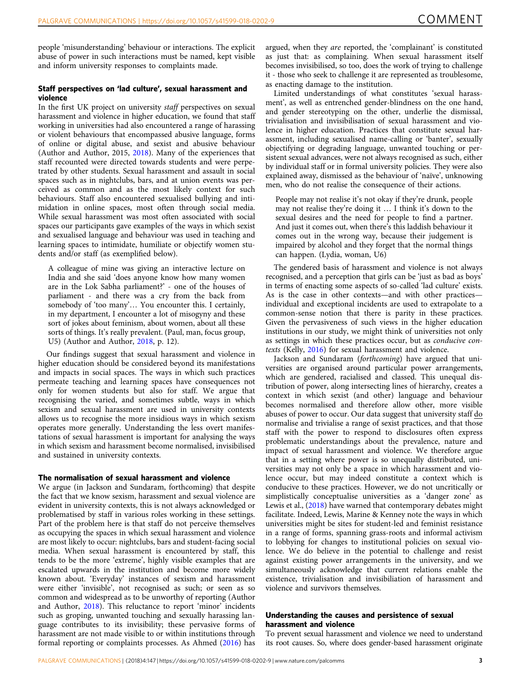people 'misunderstanding' behaviour or interactions. The explicit abuse of power in such interactions must be named, kept visible and inform university responses to complaints made.

#### Staff perspectives on 'lad culture', sexual harassment and violence

In the first UK project on university staff perspectives on sexual harassment and violence in higher education, we found that staff working in universities had also encountered a range of harassing or violent behaviours that encompassed abusive language, forms of online or digital abuse, and sexist and abusive behaviour (Author and Author, 2015, [2018\)](#page-5-0). Many of the experiences that staff recounted were directed towards students and were perpetrated by other students. Sexual harassment and assault in social spaces such as in nightclubs, bars, and at union events was perceived as common and as the most likely context for such behaviours. Staff also encountered sexualised bullying and intimidation in online spaces, most often through social media. While sexual harassment was most often associated with social spaces our participants gave examples of the ways in which sexist and sexualised language and behaviour was used in teaching and learning spaces to intimidate, humiliate or objectify women students and/or staff (as exemplified below).

A colleague of mine was giving an interactive lecture on India and she said 'does anyone know how many women are in the Lok Sabha parliament?' - one of the houses of parliament - and there was a cry from the back from somebody of 'too many'… You encounter this. I certainly, in my department, I encounter a lot of misogyny and these sort of jokes about feminism, about women, about all these sorts of things. It's really prevalent. (Paul, man, focus group, U5) (Author and Author, [2018,](#page-5-0) p. 12).

Our findings suggest that sexual harassment and violence in higher education should be considered beyond its manifestations and impacts in social spaces. The ways in which such practices permeate teaching and learning spaces have consequences not only for women students but also for staff. We argue that recognising the varied, and sometimes subtle, ways in which sexism and sexual harassment are used in university contexts allows us to recognise the more insidious ways in which sexism operates more generally. Understanding the less overt manifestations of sexual harassment is important for analysing the ways in which sexism and harassment become normalised, invisibilised and sustained in university contexts.

#### The normalisation of sexual harassment and violence

We argue (in Jackson and Sundaram, forthcoming) that despite the fact that we know sexism, harassment and sexual violence are evident in university contexts, this is not always acknowledged or problematised by staff in various roles working in these settings. Part of the problem here is that staff do not perceive themselves as occupying the spaces in which sexual harassment and violence are most likely to occur: nightclubs, bars and student-facing social media. When sexual harassment is encountered by staff, this tends to be the more 'extreme', highly visible examples that are escalated upwards in the institution and become more widely known about. 'Everyday' instances of sexism and harassment were either 'invisible', not recognised as such; or seen as so common and widespread as to be unworthy of reporting (Author and Author, [2018\)](#page-5-0). This reluctance to report 'minor' incidents such as groping, unwanted touching and sexually harassing language contributes to its invisibility; these pervasive forms of harassment are not made visible to or within institutions through formal reporting or complaints processes. As Ahmed [\(2016\)](#page-5-0) has

argued, when they are reported, the 'complainant' is constituted as just that: as complaining. When sexual harassment itself becomes invisibilised, so too, does the work of trying to challenge it - those who seek to challenge it are represented as troublesome, as enacting damage to the institution.

Limited understandings of what constitutes 'sexual harassment', as well as entrenched gender-blindness on the one hand, and gender stereotyping on the other, underlie the dismissal, trivialisation and invisibilisation of sexual harassment and violence in higher education. Practices that constitute sexual harassment, including sexualised name-calling or 'banter', sexually objectifying or degrading language, unwanted touching or persistent sexual advances, were not always recognised as such, either by individual staff or in formal university policies. They were also explained away, dismissed as the behaviour of 'naïve', unknowing men, who do not realise the consequence of their actions.

People may not realise it's not okay if they're drunk, people may not realise they're doing it … I think it's down to the sexual desires and the need for people to find a partner. And just it comes out, when there's this laddish behaviour it comes out in the wrong way, because their judgement is impaired by alcohol and they forget that the normal things can happen. (Lydia, woman, U6)

The gendered basis of harassment and violence is not always recognised, and a perception that girls can be 'just as bad as boys' in terms of enacting some aspects of so-called 'lad culture' exists. As is the case in other contexts—and with other practices individual and exceptional incidents are used to extrapolate to a common-sense notion that there is parity in these practices. Given the pervasiveness of such views in the higher education institutions in our study, we might think of universities not only as settings in which these practices occur, but as conducive contexts (Kelly, [2016\)](#page-5-0) for sexual harassment and violence.

Jackson and Sundaram (forthcoming) have argued that universities are organised around particular power arrangements, which are gendered, racialised and classed. This unequal distribution of power, along intersecting lines of hierarchy, creates a context in which sexist (and other) language and behaviour becomes normalised and therefore allow other, more visible abuses of power to occur. Our data suggest that university staff do normalise and trivialise a range of sexist practices, and that those staff with the power to respond to disclosures often express problematic understandings about the prevalence, nature and impact of sexual harassment and violence. We therefore argue that in a setting where power is so unequally distributed, universities may not only be a space in which harassment and violence occur, but may indeed constitute a context which is conducive to these practices. However, we do not uncritically or simplistically conceptualise universities as a 'danger zone' as Lewis et al., ([2018\)](#page-5-0) have warned that contemporary debates might facilitate. Indeed, Lewis, Marine & Kenney note the ways in which universities might be sites for student-led and feminist resistance in a range of forms, spanning grass-roots and informal activism to lobbying for changes to institutional policies on sexual violence. We do believe in the potential to challenge and resist against existing power arrangements in the university, and we simultaneously acknowledge that current relations enable the existence, trivialisation and invisibiliation of harassment and violence and survivors themselves.

#### Understanding the causes and persistence of sexual harassment and violence

To prevent sexual harassment and violence we need to understand its root causes. So, where does gender-based harassment originate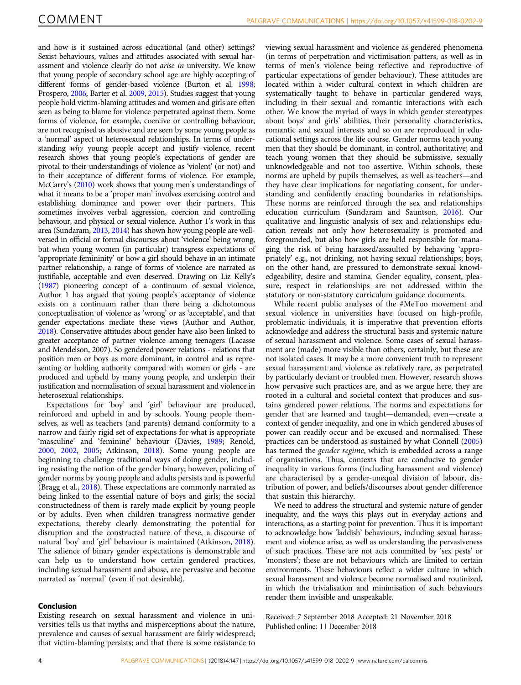and how is it sustained across educational (and other) settings? Sexist behaviours, values and attitudes associated with sexual harassment and violence clearly do not arise in university. We know that young people of secondary school age are highly accepting of different forms of gender-based violence (Burton et al. [1998;](#page-5-0) Prospero, [2006](#page-5-0); Barter et al. [2009](#page-5-0), [2015](#page-5-0)). Studies suggest that young people hold victim-blaming attitudes and women and girls are often seen as being to blame for violence perpetrated against them. Some forms of violence, for example, coercive or controlling behaviour, are not recognised as abusive and are seen by some young people as a 'normal' aspect of heterosexual relationships. In terms of understanding why young people accept and justify violence, recent research shows that young people's expectations of gender are pivotal to their understandings of violence as 'violent' (or not) and to their acceptance of different forms of violence. For example, McCarry's ([2010](#page-5-0)) work shows that young men's understandings of what it means to be a 'proper man' involves exercising control and establishing dominance and power over their partners. This sometimes involves verbal aggression, coercion and controlling behaviour, and physical or sexual violence. Author 1's work in this area (Sundaram, [2013](#page-5-0), [2014](#page-5-0)) has shown how young people are wellversed in official or formal discourses about 'violence' being wrong, but when young women (in particular) transgress expectations of 'appropriate femininity' or how a girl should behave in an intimate partner relationship, a range of forms of violence are narrated as justifiable, acceptable and even deserved. Drawing on Liz Kelly's ([1987](#page-5-0)) pioneering concept of a continuum of sexual violence, Author 1 has argued that young people's acceptance of violence exists on a continuum rather than there being a dichotomous conceptualisation of violence as 'wrong' or as 'acceptable', and that gender expectations mediate these views (Author and Author, [2018](#page-5-0)). Conservative attitudes about gender have also been linked to greater acceptance of partner violence among teenagers (Lacasse and Mendelson, 2007). So gendered power relations - relations that position men or boys as more dominant, in control and as representing or holding authority compared with women or girls - are produced and upheld by many young people, and underpin their justification and normalisation of sexual harassment and violence in heterosexual relationships.

Expectations for 'boy' and 'girl' behaviour are produced, reinforced and upheld in and by schools. Young people themselves, as well as teachers (and parents) demand conformity to a narrow and fairly rigid set of expectations for what is appropriate 'masculine' and 'feminine' behaviour (Davies, [1989](#page-5-0); Renold, [2000,](#page-5-0) [2002,](#page-5-0) [2005;](#page-5-0) Atkinson, [2018](#page-5-0)). Some young people are beginning to challenge traditional ways of doing gender, including resisting the notion of the gender binary; however, policing of gender norms by young people and adults persists and is powerful (Bragg et al., [2018](#page-5-0)). These expectations are commonly narrated as being linked to the essential nature of boys and girls; the social constructedness of them is rarely made explicit by young people or by adults. Even when children transgress normative gender expectations, thereby clearly demonstrating the potential for disruption and the constructed nature of these, a discourse of natural 'boy' and 'girl' behaviour is maintained (Atkinson, [2018](#page-5-0)). The salience of binary gender expectations is demonstrable and can help us to understand how certain gendered practices, including sexual harassment and abuse, are pervasive and become narrated as 'normal' (even if not desirable).

#### Conclusion

Existing research on sexual harassment and violence in universities tells us that myths and misperceptions about the nature, prevalence and causes of sexual harassment are fairly widespread; that victim-blaming persists; and that there is some resistance to viewing sexual harassment and violence as gendered phenomena (in terms of perpetration and victimisation patters, as well as in terms of men's violence being reflective and reproductive of particular expectations of gender behaviour). These attitudes are located within a wider cultural context in which children are systematically taught to behave in particular gendered ways, including in their sexual and romantic interactions with each other. We know the myriad of ways in which gender stereotypes about boys' and girls' abilities, their personality characteristics, romantic and sexual interests and so on are reproduced in educational settings across the life course. Gender norms teach young men that they should be dominant, in control, authoritative; and teach young women that they should be submissive, sexually unknowledgeable and not too assertive. Within schools, these norms are upheld by pupils themselves, as well as teachers—and they have clear implications for negotiating consent, for understanding and confidently enacting boundaries in relationships. These norms are reinforced through the sex and relationships education curriculum (Sundaram and Sauntson, [2016\)](#page-5-0). Our qualitative and linguistic analysis of sex and relationships education reveals not only how heterosexuality is promoted and foregrounded, but also how girls are held responsible for managing the risk of being harassed/assaulted by behaving 'appropriately' e.g., not drinking, not having sexual relationships; boys, on the other hand, are pressured to demonstrate sexual knowledgeability, desire and stamina. Gender equality, consent, pleasure, respect in relationships are not addressed within the statutory or non-statutory curriculum guidance documents.

While recent public analyses of the #MeToo movement and sexual violence in universities have focused on high-profile, problematic individuals, it is imperative that prevention efforts acknowledge and address the structural basis and systemic nature of sexual harassment and violence. Some cases of sexual harassment are (made) more visible than others, certainly, but these are not isolated cases. It may be a more convenient truth to represent sexual harassment and violence as relatively rare, as perpetrated by particularly deviant or troubled men. However, research shows how pervasive such practices are, and as we argue here, they are rooted in a cultural and societal context that produces and sustains gendered power relations. The norms and expectations for gender that are learned and taught—demanded, even—create a context of gender inequality, and one in which gendered abuses of power can readily occur and be excused and normalised. These practices can be understood as sustained by what Connell [\(2005](#page-5-0)) has termed the gender regime, which is embedded across a range of organisations. Thus, contexts that are conducive to gender inequality in various forms (including harassment and violence) are characterised by a gender-unequal division of labour, distribution of power, and beliefs/discourses about gender difference that sustain this hierarchy.

We need to address the structural and systemic nature of gender inequality, and the ways this plays out in everyday actions and interactions, as a starting point for prevention. Thus it is important to acknowledge how 'laddish' behaviours, including sexual harassment and violence arise, as well as understanding the pervasiveness of such practices. These are not acts committed by 'sex pests' or 'monsters'; these are not behaviours which are limited to certain environments. These behaviours reflect a wider culture in which sexual harassment and violence become normalised and routinized, in which the trivialisation and minimisation of such behaviours render them invisible and unspeakable.

Received: 7 September 2018 Accepted: 21 November 2018 Published online: 11 December 2018